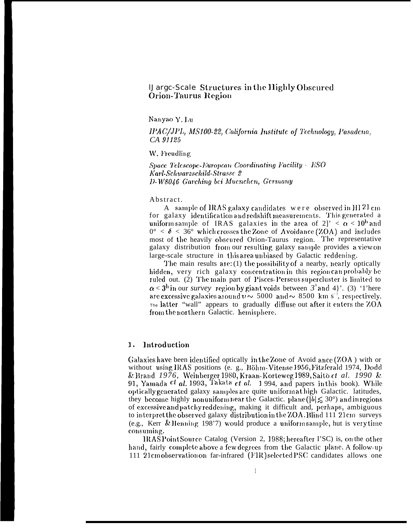# **Uarge-Scale Structures in the Highly Obscured Orion-Taurus Region**

Nanyao Y. Lu

IPAC/JPL, MS100-22, California Institute of Technology, Pasadena, CA 91125

W. Freudling

Space Telescope-European Coordinating Facility - ESO Karl-Schwarzschild-Strasse 2 D-W8046 Garching bei Muenchen, Germany

Abstract.

A sample of IRAS galaxy candidates were observed in HI 21 cm for galaxy identification and redshift measurements. This generated a uniform sample of IRAS galaxies in the area of 2]'  $\alpha$  < 10<sup>h</sup> and  $0^{\circ} < \delta < 36^{\circ}$  which crosses the Zone of Avoidance (ZOA) and includes most of the heavily obscured Orion-Taurus region. The representative galaxy distribution from our resulting galaxy sample provides a view on large-scale structure in this area unbiased by Galactic reddening.

The main results are:  $(1)$  the possibility of a nearby, nearly optically hidden, very rich galaxy concentration in this region can probably be ruled out. (2) The main part of Pisces-Perseus supercluster is limited to  $\alpha$  < 3<sup>h</sup> in our *survey* region by giant voids between  $3^h$  and 4}'. (3) '1'here are excessive galaxies around  $v \sim 5000$  and  $\sim 8500$  km s<sup>-1</sup>, respectively.  $\tau_{\text{he}}$  latter "wall" appears to gradually diffuse out after it enters the  $ZOA$ from the northern Galactic. hemisphere.

## Introduction 1.

Galaxies have been identified optically in the Zone of Avoid ance (ZOA) with or without using IRAS positions (e. g., Böhm-Vitense 1956, Fitzferald 1974, Dodd & Brand 1976, Weinberger 1980, Kraan-Korteweg 1989, Saito et al. 1990 & 91, Yamada cl al. 1993, Takata ct al. 1994, and papers in this book). While optically generated galaxy samples are quite uniform at high Galactic. latitudes, they become highly nonuniform near the Galactic. plane ( $|b| \lesssim 30^{\circ}$ ) and in regions of excessive and patchy reddening, making it difficult and, perhaps, ambiguous to interpret the observed galaxy distribution in the ZOA. Blind 111 21cm surveys (e.g., Kerr & Henning 198'7) would produce a uniform sample, but is very time consuming.

IRAS Point Source Catalog (Version 2, 1988; hereafter I'SC) is, on the other hand, fairly complete above a few degrees from the Galactic plane. A follow-up 111 21cm observation on far-infrared (FIR) selected PSC candidates allows one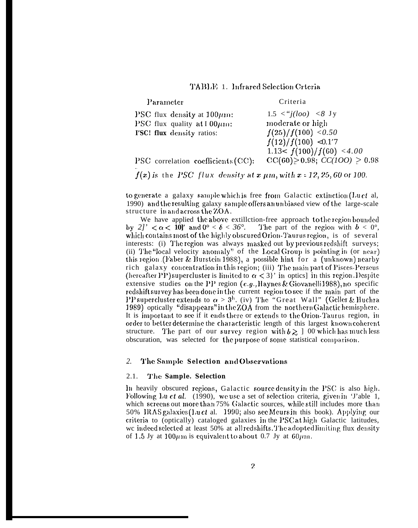# TABLE 1. Infrared Selection Crteria

Parameter

Criteria

| PSC flux density at $100 \mu m$ :  | $1.5 \leq i(loo) \leq 8$ Jy            |
|------------------------------------|----------------------------------------|
| PSC flux quality at $100 \mu m$ :  | moderate or high                       |
| I'SC! flux density ratios:         | f(25)/f(100) < 0.50                    |
|                                    | $f(12)/f(100)$ < 0.1'7                 |
|                                    | 1.13< $f(100)/f(60)$ < 4.00            |
| PSC correlation coefficients (CC): | $CC(60) \ge 0.98$ ; $CC(100) \ge 0.98$ |

 $f(x)$  is the PSC flux density at  $x \mu m$ , with  $x = 12, 25, 60$  or 100.

to generate a galaxy sample which is free from Galactic extinction  $(Lu \, et \, al,$ 1990) and the resulting galaxy sample offers an unbiased view of the large-scale structure in and across the ZOA.

We have applied the above extillction-free approach to the region bounded by 2]'  $< \alpha < 10$ ]' and  $0^{\circ} < \delta < 36^{\circ}$ . The part of the region with  $b < 0^{\circ}$ , which contains most of the highly obscured Orion-Taurus region, is of several interests: (i) The region was always masked out by previous redshift surveys; (ii) The "local velocity anomaly" of the Local Group is pointing in (or near) this region (Faber & Burstein 1988), a possible hint for a (unknown) nearby rich galaxy concentration in this region; (iii) The main part of Pisces-Perseus (hereafter PP) supercluster is limited to  $\alpha < 3$ ' in optics) in this region. Despite extensive studies on the PP region  $(e.g.,\text{Haynes} \& Giovanni 1988)$ , no specific redshift survey has been done in the current region to see if the main part of the PP supercluster extends to  $\alpha > 3^h$ . (iv) The "Great Wall" (Geller & Huchra 1989) optically "disappears" in the ZOA from the northern Galactic hemisphere. It is important to see if it ends there or extends to the Orion-Taurus region, in order to better determine the characteristic length of this largest known coherent structure. The part of our survey region with  $b \ge 1$  00 which has much less obscuration, was selected for the purpose of some statistical comparison.

### 2. The Sample Selection and Observations

#### $2.1.$ The Sample. Selection

In heavily obscured regions, Galactic source density in the PSC is also high. Following Lu *et al.* (1990), we use a set of selection criteria, given in 'J'able 1, which screens out more than 75% Galactic sources, while still includes more than 50% IRAS galaxies (Lu ct al. 1990; also see Meurs in this book). Applying our criteria to (optically) cataloged galaxies in the PSC at high Galactic latitudes, we indeed selected at least 50% at all redshifts. The adopted limiting flux density of 1.5 Jy at 100 $\mu$ m is equivalent to about 0.7 Jy at 60 $\mu$ m.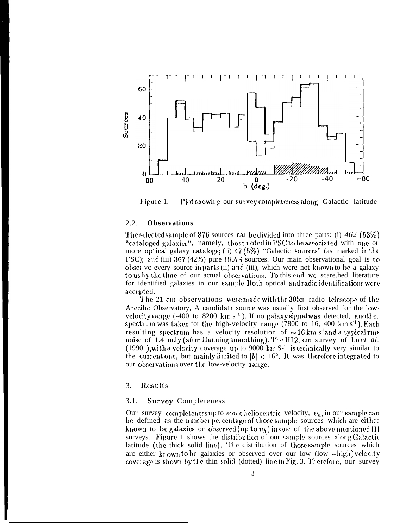

Plot showing our survey completeness along Galactic latitude Figure 1.

#### $2.2.$ **Observations**

The selected sample of 876 sources can be divided into three parts: (i)  $462$  (53%) "cataloged galaxies", namely, those noted in PSC to be associated with one or more optical galaxy catalogs; (ii)  $47(5\%)$  "Galactic sources" (as marked in the I'SC); and (iii) 367 (42%) pure IRAS sources. Our main observational goal is to obset vc every source in parts (ii) and (iii), which were not known to be a galaxy to us by the time of our actual observations. To this end, we scare hed literature for identified galaxies in our sample. Both optical and radio identifications were accepted.

The 21 cm observations were made with the 305m radio telescope of the Arecibo Observatory, A candidate source was usually first observed for the lowvelocity range  $(-400 \text{ to } 8200 \text{ km s}^1)$ . If no galaxy signal was detected, another spectrum was taken for the high-velocity range  $(7800$  to 16, 400 km s<sup>-1</sup>). Each resulting spectrum has a velocity resolution of  $\sim 16 \text{ km s}^3$  and a typical rms noise of 1.4 mJy (after Hanning smoothing). The HI 21cm survey of Luct al.  $(1990)$ , with a velocity coverage up to 9000 km S-l, is technically very similar to the current one, but mainly limited to  $|b| < 16^{\circ}$ , It was therefore integrated to our observations over the low-velocity range.

#### 3. Results

#### $3.1.$ **Survey Completeness**

Our survey completeness up to some heliocentric velocity,  $v_h$ , in our sample can be defined as the number percentage of those sample sources which are either known to be galaxies or observed (up to  $v_h$ ) in one of the above mentioned HI surveys. Figure 1 shows the distribution of our sample sources along Galactic latitude (the thick solid line). The distribution of those sample sources which arc either known to be galaxies or observed over our low  $(\text{low } + \text{high})$  velocity coverage is shown by the thin solid (dotted) line in Fig. 3. Therefore, our survey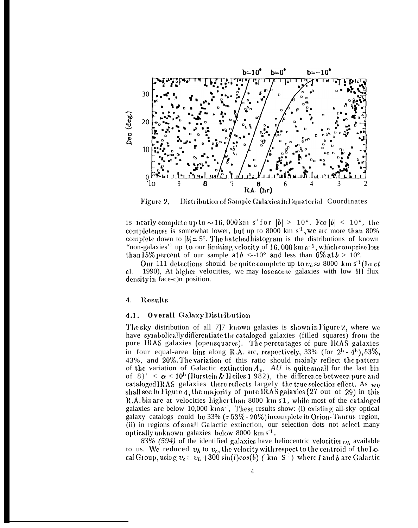

Distribution of Sample Galaxies in Equatorial Coordinates Figure 2.

is nearly complete up to  $\sim 16,000 \text{ km s}^3$  for  $|b| > 10^\circ$ . For  $|b| < 10^\circ$ , the completeness is somewhat lower, but up to 8000 km  $s<sup>1</sup>$ , we arc more than 80% complete down to  $|b|=5^{\circ}$ . The hatched histogram is the distributions of known "non-galaxies" up to our limiting velocity of  $16,000 \text{ km s}^{-1}$ , which comprise less than 15% percent of our sample at  $b \le -10^{\circ}$  and less than 6% at  $b > 10^{\circ}$ .

Our 111 detections should be quite complete up to  $v_h \approx 8000 \text{ km s}^2$  (Luct 1990), At higher velocities, we may lose some galaxies with low HI flux  $a1.$ density in face-c)n position.

#### Results 4.

#### **Overall Galaxy Distribution**  $4.1.$

The sky distribution of all 7]7 known galaxies is shown in Figure 2, where we have symbolically differentiate the cataloged galaxies (filled squares) from the pure IRAS galaxies (opensquares). The percentages of pure IRAS galaxies in four equal-area bins along R.A. arc, respectively, 33% (for  $2<sup>h</sup>$  - 4<sup>h</sup>), 53%, 43%, and 20%. The variation of this ratio should mainly reflect the pattern of the variation of Galactic extinction  $A_v$ . AU is quite small for the last bin of 8}'  $\alpha$  < 10<sup>h</sup> (Burstein & Heiles 1 982), the difference between pure and cataloged IRAS galaxies there reflects largely the true selection effect. As we shall see in Figure 4, the majority of pure IRAS galaxies (27 out of 29) in this R.A. bin are at velocities higher than 8000 km s<sup>1</sup>, while most of the cataloged galaxies are below 10,000 kms<sup>-1</sup>, These results show: (i) existing all-sky optical galaxy catalogs could be  $33\%$  (=  $53\%$  -  $20\%$ ) incomplete in Orion Taurus region, (ii) in regions of small Galactic extinction, our selection dots not select many optically unknown galaxies below 8000 km s<sup>1</sup>.

83% (594) of the identified galaxies have heliocentric velocities  $v_h$  available to us. We reduced  $v_h$  to  $v_c$ , the velocity with respect to the centroid of the Local Group, using  $v_c = v_h + 300 \sin(l) \cos(b)$  (km S<sup>-1</sup>) where l and b are Galactic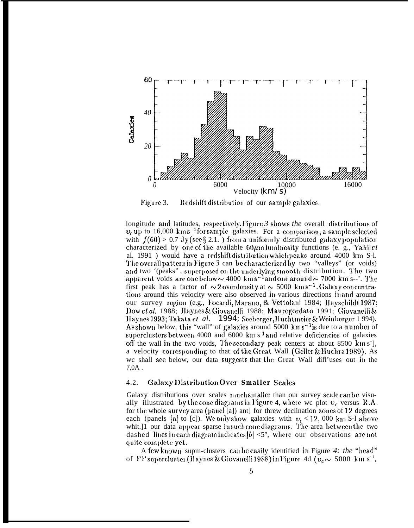

Figure 3. Redshift distribution of our sample galaxies.

longitude and latitudes, respectively. Figure  $\beta$  shows the overall distributions of  $v_c$ up to 16,000 kms<sup>-1</sup>forsample galaxies. For a comparison, a sample selected with  $f(60) > 0.7$  Jy (see § 2.1.) from a uniformly distributed galaxy population characterized by one of the available  $60 \mu m$  luminosity functions (e. g., Yahil  $et$ al. 1991) would have a redshift distribution which peaks around 4000 km S-l. The overall pattern in Figure  $3$  can be characterized by two "valleys" (or voids) and two '(peaks", superposed on the underlying smooth distribution. The two apparent voids are one below  $\sim 4000 \text{ km s}^{-1}$  and one around  $\sim 7000 \text{ km s}^{-1}$ . The first peak has a factor of  $\sim 2$  overdensity at  $\sim 5000 \text{ km s}^{-1}$ . Galaxy concentrations around this velocity were also observed in various directions in and around our survey region (e.g., Focardi, Marano, & Vettolani 1984; Hayschildt 1987; Dow *ct al.* 1988; Haynes & Giovanelli 1988; Maurogordato 1991; Giovanelli & Haynes 1993; Takata *et al.* 1994; Seeberger, Huchtmeier & Weinberger 1994). As shown below, this "wall" of galaxies around 5000 kms<sup>-1</sup> is due to a number of superclusters between 4000 aud  $6000 \text{ km s}^1$  and relative deficiencies of galaxies off the wall in the two voids, The secondary peak centers at about 8500 km s<sup>-</sup>], a velocity corresponding to that of the Great Wall (Geller & Huchra 1989). As we shall see below, our data suggests that the Great Wall diff'uses out in the  $7,0A$ .

### $4.2.$ **Galaxy Distribution Over Smaller Scales**

Galaxy distributions over scales much smaller than our survey scale can be visually illustrated by the cone diagrams in Figure 4, where we plot  $v_c$  versus R.A. for the whole survey area (panel [a]) ant] for threw declination zones of 12 degrees each (panels [a] to [c]). We only show galaxies with  $v_c < 12$ , 000 km S-1 above whit.]1 our data appear sparse insuch cone diagrams. The area between the two dashed lines in each diagram indicates  $|b| < 5^{\circ}$ , where our observations are not quite complete yet.

A few known supm-clusters can be easily identified in Figure 4: the "head" of PP supercluster (Haynes & Giovanelli 1988) in Figure 4d ( $v_c \sim 5000$  km s<sup>-1</sup>,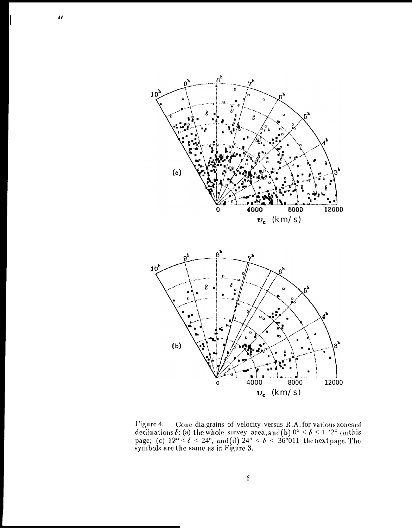

 $\boldsymbol{\mu}$ 

Figure 4. Cone dia.grains of velocity versus R.A. for various zones of declinations  $\delta$ : (a) the whole survey area, and (b)  $0^{\circ} < \delta < 1$  '2° on this page; (c)  $12^{\circ} < \delta < 24^{\circ}$ , and (d)  $24^{\circ} < \delta < 36^{\circ}011$  the next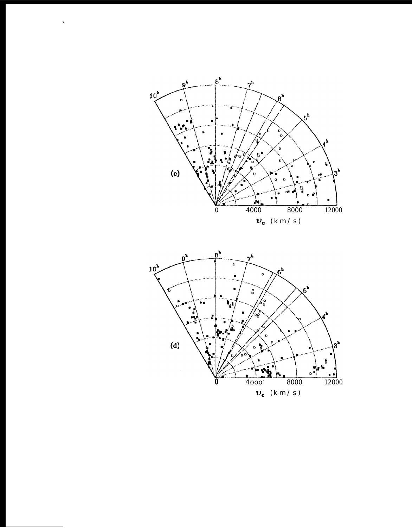

 $\hat{\mathbf{v}}$ 

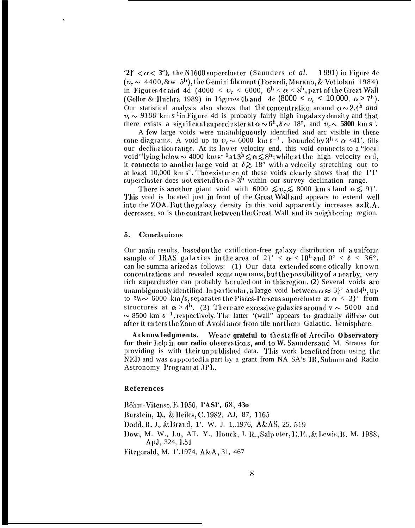'2}'  $\langle \alpha \langle 3^\circ \rangle$ , the N1600 supercluster (Saunders *et al.* 1991) in Figure 4c  $(v_c \sim 4400, \& \text{w}_b)$ , the Gemini filament (Focardi, Marano, & Vettolani 1984) in Figures 4c and 4d (4000  $\langle v_c \rangle$  = 6000,  $6^{\rm h} \langle \alpha \rangle$  s<sup>h</sup>, part of the Great Wall (Geller & Huchra 1989) in Figures 4b and 4c (8000 <  $v_c$  < 10,000,  $\alpha$  > 7<sup>h</sup>). Our statistical analysis also shows that the concentration around  $\alpha \sim 2.4^{\rm h}$  and  $v_c \sim 9100$  km s<sup>-1</sup> in Figure 4d is probably fairly high in galaxy density and that there exists a significant supercluster at  $\alpha \sim 6^{\text{h}}, \delta \sim 18^{\circ}$ , and  $v_c \sim 5800 \text{ km s}^{\text{l}}$ .

A few large voids were unambiguously identified and arc visible in these cone diagrams. A void up to  $v_c \sim 6000$  km s<sup>-1</sup>. bounded by  $3^h < \alpha < 41$ ', fills our declination range. At its lower velocity end, this void connects to a "local void''lying below  $\sim$  4000 kms<sup>-1</sup> at  $3^h \lesssim \alpha \lesssim 8^h$ ; while at the high velocity end, it connects to another large void at  $\delta \gtrsim 18^{\circ}$  with a velocity stretching out to at least 10,000 km  $s^{-1}$ . The existence of these voids clearly shows that the 1'1' supercluster does not extend to  $\alpha > 3^h$  within our survey declination range.

There is another giant void with 6000  $\leq v_c \leq 8000$  km s land  $\alpha \leq 9$ . This void is located just in front of the Great Wall and appears to extend well into the ZOA. But the galaxy density in this void apparently increases as  $R.A$ . decreases, so is the contrast between the Great Wall and its neighboring region.

#### 5. Conclsuions

Our main results, based on the extilletion-free galaxy distribution of a uniform sample of IRAS galaxies in the area of 2}' <  $\alpha$  < 10<sup>h</sup> and 0° <  $\delta$  < 36°, can be summa arized as follows: (1) Our data extended some otically known concentrations and revealed some new ones, but the possibility of a nearby, very rich supercluster can probably be ruled out in this region. (2) Several voids are unambiguously identified. In particular, a large void between  $\alpha \approx 3$  and  $4^{\rm h}$ , up to  $v_h \sim 6000 \text{ km/s}$ , separates the Pisces-Perseus supercluster at  $\alpha < 3$ ' from structures at  $\alpha > 4^h$ . (3) There are excessive galaxies around  $v \sim 5000$  and  $\sim$  8500 km s<sup>-1</sup>, respectively. The latter '(wall" appears to gradually diffuse out after it enters the Zone of Avoid ance from tile northern Galactic. hemisphere.

Acknowledgments. We are grateful to the staffs of Arecibo Observatory for their helpin our radio observations, and to W. Saunders and M. Strauss for providing is with their unpublished data. This work benefited from using the NED and was supported in part by a grant from NA SA's IR, Submm and Radio Astronomy Program at JPL.

# References

Böhm-Vitense, E. 1956, PASP, 68, 430 Burstein, 1)., & Heiles, C. 1982, AJ, 87, 1165 Dodd, R. J., & Brand, 1'. W. J. 1, 1976, A&AS, 25, 519 Dow, M. W., Lu, AT. Y., Houck, J. R., Salp eter, E. E., & Lewis, B. M. 1988, ApJ, 324, 1.51 Fitzgerald, M. 1'.1974, A&A, 31, 467